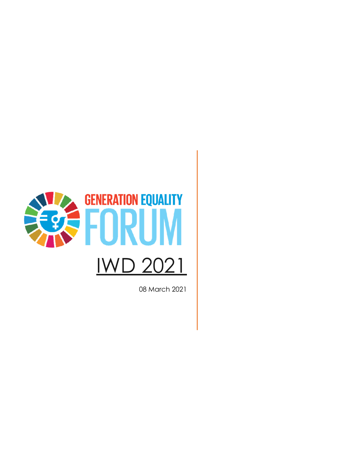

08 March 2021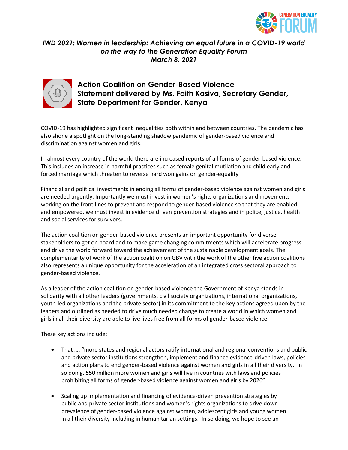

#### *IWD 2021: Women in leadership: Achieving an equal future in a COVID-19 world on the way to the Generation Equality Forum March 8, 2021*



## **Action Coalition on Gender-Based Violence Statement delivered by Ms. Faith Kasiva, Secretary Gender, State Department for Gender, Kenya**

COVID-19 has highlighted significant inequalities both within and between countries. The pandemic has also shone a spotlight on the long-standing shadow pandemic of gender-based violence and discrimination against women and girls.

In almost every country of the world there are increased reports of all forms of gender-based violence. This includes an increase in harmful practices such as female genital mutilation and child early and forced marriage which threaten to reverse hard won gains on gender-equality

Financial and political investments in ending all forms of gender-based violence against women and girls are needed urgently. Importantly we must invest in women's rights organizations and movements working on the front lines to prevent and respond to gender-based violence so that they are enabled and empowered, we must invest in evidence driven prevention strategies and in police, justice, health and social services for survivors.

The action coalition on gender-based violence presents an important opportunity for diverse stakeholders to get on board and to make game changing commitments which will accelerate progress and drive the world forward toward the achievement of the sustainable development goals. The complementarity of work of the action coalition on GBV with the work of the other five action coalitions also represents a unique opportunity for the acceleration of an integrated cross sectoral approach to gender-based violence.

As a leader of the action coalition on gender-based violence the Government of Kenya stands in solidarity with all other leaders (governments, civil society organizations, international organizations, youth-led organizations and the private sector) in its commitment to the key actions agreed upon by the leaders and outlined as needed to drive much needed change to create a world in which women and girls in all their diversity are able to live lives free from all forms of gender-based violence.

These key actions include;

- That …. "more states and regional actors ratify international and regional conventions and public and private sector institutions strengthen, implement and finance evidence-driven laws, policies and action plans to end gender-based violence against women and girls in all their diversity. In so doing, 550 million more women and girls will live in countries with laws and policies prohibiting all forms of gender-based violence against women and girls by 2026"
- Scaling up implementation and financing of evidence-driven prevention strategies by public and private sector institutions and women's rights organizations to drive down prevalence of gender-based violence against women, adolescent girls and young women in all their diversity including in humanitarian settings. In so doing, we hope to see an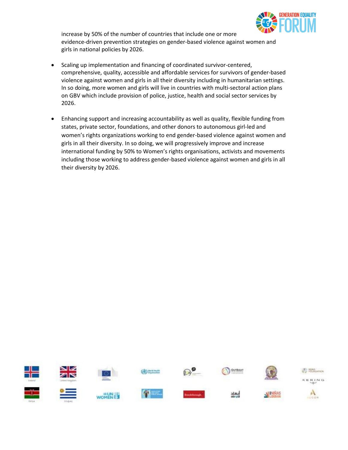

increase by 50% of the number of countries that include one or more evidence-driven prevention strategies on gender-based violence against women and girls in national policies by 2026.

- Scaling up implementation and financing of coordinated survivor-centered, comprehensive, quality, accessible and affordable services for survivors of gender-based violence against women and girls in all their diversity including in humanitarian settings. In so doing, more women and girls will live in countries with multi-sectoral action plans on GBV which include provision of police, justice, health and social sector services by 2026.
- Enhancing support and increasing accountability as well as quality, flexible funding from states, private sector, foundations, and other donors to autonomous girl-led and women's rights organizations working to end gender-based violence against women and girls in all their diversity. In so doing, we will progressively improve and increase international funding by 50% to Women's rights organisations, activists and movements including those working to address gender-based violence against women and girls in all their diversity by 2026.

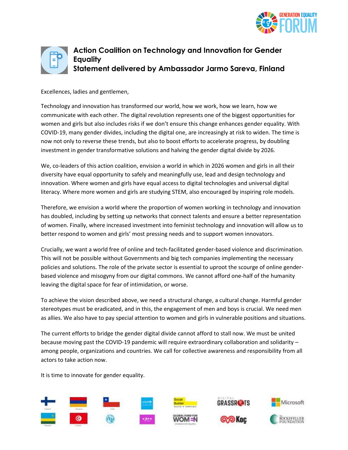



### **Action Coalition on Technology and Innovation for Gender Equality Statement delivered by Ambassador Jarmo Sareva, Finland**

Excellences, ladies and gentlemen,

Technology and innovation has transformed our world, how we work, how we learn, how we communicate with each other. The digital revolution represents one of the biggest opportunities for women and girls but also includes risks if we don't ensure this change enhances gender equality. With COVID-19, many gender divides, including the digital one, are increasingly at risk to widen. The time is now not only to reverse these trends, but also to boost efforts to accelerate progress, by doubling investment in gender transformative solutions and halving the gender digital divide by 2026.

We, co-leaders of this action coalition, envision a world in which in 2026 women and girls in all their diversity have equal opportunity to safely and meaningfully use, lead and design technology and innovation. Where women and girls have equal access to digital technologies and universal digital literacy. Where more women and girls are studying STEM, also encouraged by inspiring role models.

Therefore, we envision a world where the proportion of women working in technology and innovation has doubled, including by setting up networks that connect talents and ensure a better representation of women. Finally, where increased investment into feminist technology and innovation will allow us to better respond to women and girls' most pressing needs and to support women innovators.

Crucially, we want a world free of online and tech-facilitated gender-based violence and discrimination. This will not be possible without Governments and big tech companies implementing the necessary policies and solutions. The role of the private sector is essential to uproot the scourge of online genderbased violence and misogyny from our digital commons. We cannot afford one-half of the humanity leaving the digital space for fear of intimidation, or worse.

To achieve the vision described above, we need a structural change, a cultural change. Harmful gender stereotypes must be eradicated, and in this, the engagement of men and boys is crucial. We need men as allies. We also have to pay special attention to women and girls in vulnerable positions and situations.

The current efforts to bridge the gender digital divide cannot afford to stall now. We must be united because moving past the COVID-19 pandemic will require extraordinary collaboration and solidarity – among people, organizations and countries. We call for collective awareness and responsibility from all actors to take action now.

It is time to innovate for gender equality.

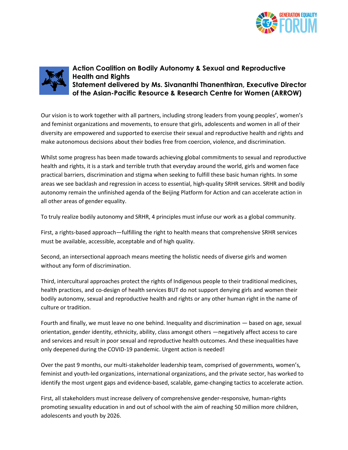



**Action Coalition on Bodily Autonomy & Sexual and Reproductive Health and Rights Statement delivered by Ms. Sivananthi Thanenthiran, Executive Director of the Asian-Pacific Resource & Research Centre for Women (ARROW)**

Our vision is to work together with all partners, including strong leaders from young peoples', women's and feminist organizations and movements, to ensure that girls, adolescents and women in all of their diversity are empowered and supported to exercise their sexual and reproductive health and rights and make autonomous decisions about their bodies free from coercion, violence, and discrimination.

Whilst some progress has been made towards achieving global commitments to sexual and reproductive health and rights, it is a stark and terrible truth that everyday around the world, girls and women face practical barriers, discrimination and stigma when seeking to fulfill these basic human rights. In some areas we see backlash and regression in access to essential, high-quality SRHR services. SRHR and bodily autonomy remain the unfinished agenda of the Beijing Platform for Action and can accelerate action in all other areas of gender equality.

To truly realize bodily autonomy and SRHR, 4 principles must infuse our work as a global community.

First, a rights-based approach—fulfilling the right to health means that comprehensive SRHR services must be available, accessible, acceptable and of high quality.

Second, an intersectional approach means meeting the holistic needs of diverse girls and women without any form of discrimination.

Third, intercultural approaches protect the rights of Indigenous people to their traditional medicines, health practices, and co-design of health services BUT do not support denying girls and women their bodily autonomy, sexual and reproductive health and rights or any other human right in the name of culture or tradition.

Fourth and finally, we must leave no one behind. Inequality and discrimination — based on age, sexual orientation, gender identity, ethnicity, ability, class amongst others —negatively affect access to care and services and result in poor sexual and reproductive health outcomes. And these inequalities have only deepened during the COVID-19 pandemic. Urgent action is needed!

Over the past 9 months, our multi-stakeholder leadership team, comprised of governments, women's, feminist and youth-led organizations, international organizations, and the private sector, has worked to identify the most urgent gaps and evidence-based, scalable, game-changing tactics to accelerate action.

First, all stakeholders must increase delivery of comprehensive gender-responsive, human-rights promoting sexuality education in and out of school with the aim of reaching 50 million more children, adolescents and youth by 2026.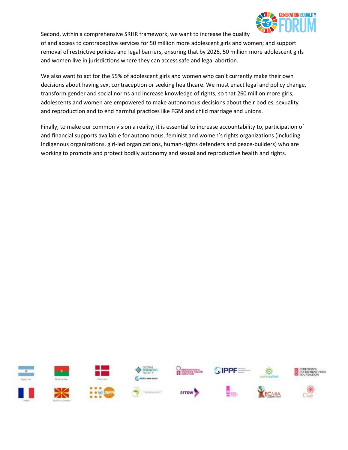

Second, within a comprehensive SRHR framework, we want to increase the quality

of and access to contraceptive services for 50 million more adolescent girls and women; and support removal of restrictive policies and legal barriers, ensuring that by 2026, 50 million more adolescent girls and women live in jurisdictions where they can access safe and legal abortion.

We also want to act for the 55% of adolescent girls and women who can't currently make their own decisions about having sex, contraception or seeking healthcare. We must enact legal and policy change, transform gender and social norms and increase knowledge of rights, so that 260 million more girls, adolescents and women are empowered to make autonomous decisions about their bodies, sexuality and reproduction and to end harmful practices like FGM and child marriage and unions.

Finally, to make our common vision a reality, it is essential to increase accountability to, participation of and financial supports available for autonomous, feminist and women's rights organizations (including Indigenous organizations, girl-led organizations, human-rights defenders and peace-builders) who are working to promote and protect bodily autonomy and sexual and reproductive health and rights.

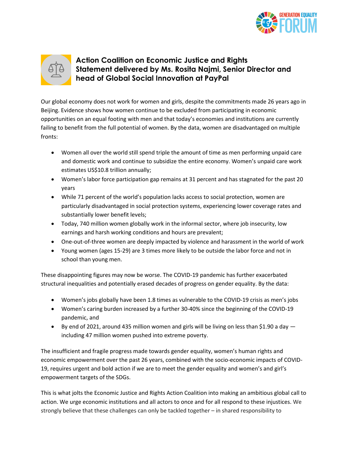



# **Action Coalition on Economic Justice and Rights Statement delivered by Ms. Rosita Najmi, Senior Director and head of Global Social Innovation at PayPal**

Our global economy does not work for women and girls, despite the commitments made 26 years ago in Beijing. Evidence shows how women continue to be excluded from participating in economic opportunities on an equal footing with men and that today's economies and institutions are currently failing to benefit from the full potential of women. By the data, women are disadvantaged on multiple fronts:

- Women all over the world still spend triple the amount of time as men performing unpaid care and domestic work and continue to subsidize the entire economy. Women's unpaid care work estimates US\$10.8 trillion annually;
- Women's labor force participation gap remains at 31 percent and has stagnated for the past 20 years
- While 71 percent of the world's population lacks access to social protection, women are particularly disadvantaged in social protection systems, experiencing lower coverage rates and substantially lower benefit levels;
- Today, 740 million women globally work in the informal sector, where job insecurity, low earnings and harsh working conditions and hours are prevalent;
- One-out-of-three women are deeply impacted by violence and harassment in the world of work
- Young women (ages 15-29) are 3 times more likely to be outside the labor force and not in school than young men.

These disappointing figures may now be worse. The COVID-19 pandemic has further exacerbated structural inequalities and potentially erased decades of progress on gender equality. By the data:

- Women's jobs globally have been 1.8 times as vulnerable to the COVID-19 crisis as men's jobs
- Women's caring burden increased by a further 30-40% since the beginning of the COVID-19 pandemic, and
- By end of 2021, around 435 million women and girls will be living on less than \$1.90 a day including 47 million women pushed into extreme poverty.

The insufficient and fragile progress made towards gender equality, women's human rights and economic empowerment over the past 26 years, combined with the socio-economic impacts of COVID-19, requires urgent and bold action if we are to meet the gender equality and women's and girl's empowerment targets of the SDGs.

This is what jolts the Economic Justice and Rights Action Coalition into making an ambitious global call to action. We urge economic institutions and all actors to once and for all respond to these injustices. We strongly believe that these challenges can only be tackled together – in shared responsibility to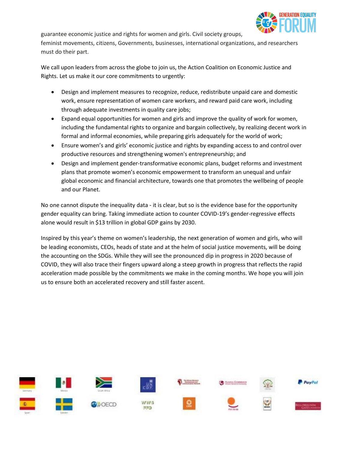

guarantee economic justice and rights for women and girls. Civil society groups, feminist movements, citizens, Governments, businesses, international organizations, and researchers must do their part.

We call upon leaders from across the globe to join us, the Action Coalition on Economic Justice and Rights. Let us make it our core commitments to urgently:

- Design and implement measures to recognize, reduce, redistribute unpaid care and domestic work, ensure representation of women care workers, and reward paid care work, including through adequate investments in quality care jobs;
- Expand equal opportunities for women and girls and improve the quality of work for women, including the fundamental rights to organize and bargain collectively, by realizing decent work in formal and informal economies, while preparing girls adequately for the world of work;
- Ensure women's and girls' economic justice and rights by expanding access to and control over productive resources and strengthening women's entrepreneurship; and
- Design and implement gender-transformative economic plans, budget reforms and investment plans that promote women's economic empowerment to transform an unequal and unfair global economic and financial architecture, towards one that promotes the wellbeing of people and our Planet.

No one cannot dispute the inequality data - it is clear, but so is the evidence base for the opportunity gender equality can bring. Taking immediate action to counter COVID-19's gender-regressive effects alone would result in \$13 trillion in global GDP gains by 2030.

Inspired by this year's theme on women's leadership, the next generation of women and girls, who will be leading economists, CEOs, heads of state and at the helm of social justice movements, will be doing the accounting on the SDGs. While they will see the pronounced dip in progress in 2020 because of COVID, they will also trace their fingers upward along a steep growth in progress that reflects the rapid acceleration made possible by the commitments we make in the coming months. We hope you will join us to ensure both an accelerated recovery and still faster ascent.

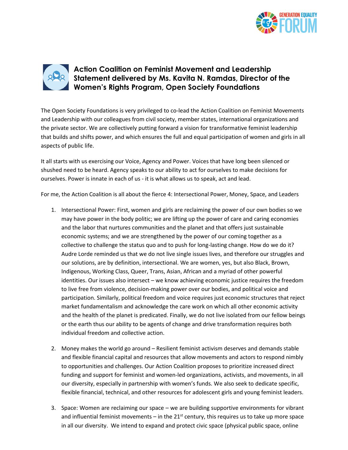



# **Action Coalition on Feminist Movement and Leadership Statement delivered by Ms. Kavita N. Ramdas, Director of the Women's Rights Program, Open Society Foundations**

The Open Society Foundations is very privileged to co-lead the Action Coalition on Feminist Movements and Leadership with our colleagues from civil society, member states, international organizations and the private sector. We are collectively putting forward a vision for transformative feminist leadership that builds and shifts power, and which ensures the full and equal participation of women and girls in all aspects of public life.

It all starts with us exercising our Voice, Agency and Power. Voices that have long been silenced or shushed need to be heard. Agency speaks to our ability to act for ourselves to make decisions for ourselves. Power is innate in each of us - it is what allows us to speak, act and lead.

For me, the Action Coalition is all about the fierce 4: Intersectional Power, Money, Space, and Leaders

- 1. Intersectional Power: First, women and girls are reclaiming the power of our own bodies so we may have power in the body politic; we are lifting up the power of care and caring economies and the labor that nurtures communities and the planet and that offers just sustainable economic systems; and we are strengthened by the power of our coming together as a collective to challenge the status quo and to push for long-lasting change. How do we do it? Audre Lorde reminded us that we do not live single issues lives, and therefore our struggles and our solutions, are by definition, intersectional. We are women, yes, but also Black, Brown, Indigenous, Working Class, Queer, Trans, Asian, African and a myriad of other powerful identities. Our issues also intersect – we know achieving economic justice requires the freedom to live free from violence, decision-making power over our bodies, and political voice and participation. Similarly, political freedom and voice requires just economic structures that reject market fundamentalism and acknowledge the care work on which all other economic activity and the health of the planet is predicated. Finally, we do not live isolated from our fellow beings or the earth thus our ability to be agents of change and drive transformation requires both individual freedom and collective action.
- 2. Money makes the world go around Resilient feminist activism deserves and demands stable and flexible financial capital and resources that allow movements and actors to respond nimbly to opportunities and challenges. Our Action Coalition proposes to prioritize increased direct funding and support for feminist and women-led organizations, activists, and movements, in all our diversity, especially in partnership with women's funds. We also seek to dedicate specific, flexible financial, technical, and other resources for adolescent girls and young feminist leaders.
- 3. Space: Women are reclaiming our space we are building supportive environments for vibrant and influential feminist movements – in the  $21<sup>st</sup>$  century, this requires us to take up more space in all our diversity. We intend to expand and protect civic space (physical public space, online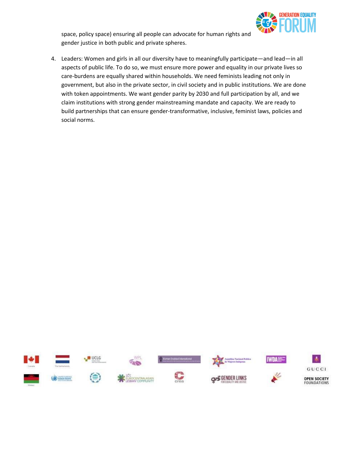

space, policy space) ensuring all people can advocate for human rights and gender justice in both public and private spheres.

4. Leaders: Women and girls in all our diversity have to meaningfully participate—and lead—in all aspects of public life. To do so, we must ensure more power and equality in our private lives so care-burdens are equally shared within households. We need feminists leading not only in government, but also in the private sector, in civil society and in public institutions. We are done with token appointments. We want gender parity by 2030 and full participation by all, and we claim institutions with strong gender mainstreaming mandate and capacity. We are ready to build partnerships that can ensure gender-transformative, inclusive, feminist laws, policies and social norms.

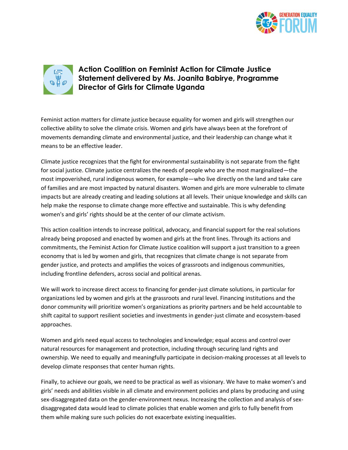



# **Action Coalition on Feminist Action for Climate Justice Statement delivered by Ms. Joanita Babirye, Programme Director of Girls for Climate Uganda**

Feminist action matters for climate justice because equality for women and girls will strengthen our collective ability to solve the climate crisis. Women and girls have always been at the forefront of movements demanding climate and environmental justice, and their leadership can change what it means to be an effective leader.

Climate justice recognizes that the fight for environmental sustainability is not separate from the fight for social justice. Climate justice centralizes the needs of people who are the most marginalized—the most impoverished, rural indigenous women, for example—who live directly on the land and take care of families and are most impacted by natural disasters. Women and girls are more vulnerable to climate impacts but are already creating and leading solutions at all levels. Their unique knowledge and skills can help make the response to climate change more effective and sustainable. This is why defending women's and girls' rights should be at the center of our climate activism.

This action coalition intends to increase political, advocacy, and financial support for the real solutions already being proposed and enacted by women and girls at the front lines. Through its actions and commitments, the Feminist Action for Climate Justice coalition will support a just transition to a green economy that is led by women and girls, that recognizes that climate change is not separate from gender justice, and protects and amplifies the voices of grassroots and indigenous communities, including frontline defenders, across social and political arenas.

We will work to increase direct access to financing for gender-just climate solutions, in particular for organizations led by women and girls at the grassroots and rural level. Financing institutions and the donor community will prioritize women's organizations as priority partners and be held accountable to shift capital to support resilient societies and investments in gender-just climate and ecosystem-based approaches.

Women and girls need equal access to technologies and knowledge; equal access and control over natural resources for management and protection, including through securing land rights and ownership. We need to equally and meaningfully participate in decision-making processes at all levels to develop climate responses that center human rights.

Finally, to achieve our goals, we need to be practical as well as visionary. We have to make women's and girls' needs and abilities visible in all climate and environment policies and plans by producing and using sex-disaggregated data on the gender-environment nexus. Increasing the collection and analysis of sexdisaggregated data would lead to climate policies that enable women and girls to fully benefit from them while making sure such policies do not exacerbate existing inequalities.